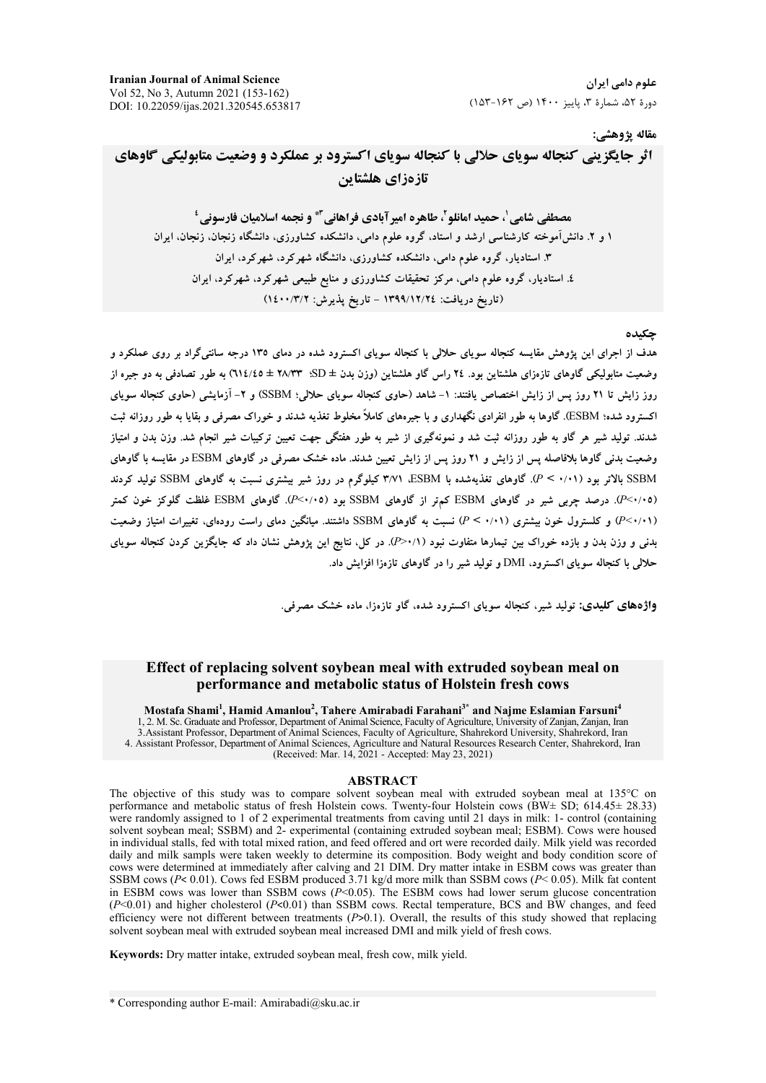علوم دامے, ایران دورهٔ ۵۲، شمارهٔ ۳، پاییز ۱۴۰۰ (ص ۱۶۲-۱۵۳)

#### مقاله يژوهشي:

# اثر جایگزینی کنجاله سویای حلالی با کنجاله سویای اکسترود بر عملکرد و وضعیت متابولیکی گاوهای تازهزاي هلشتاين

مصطفى شامي ٰ، حميد امانلو ٰ، طاهره امير آبادي فراهاني ّ\* و نجمه اسلاميان فارسوني ٔ ۱ و ۲. دانش آموخته کارشناسی ارشد و استاد، گروه علوم دامی، دانشکده کشاورزی، دانشگاه زنجان، زنجان، ایران ۳. استادیار، گروه علوم دامی، دانشکده کشاورزی، دانشگاه شهرکرد، شهرکرد، ایران ٤. استادیار، گروه علوم دامی، مرکز تحقیقات کشاورزی و منابع طبیعی شهرکرد، شهرکرد، ایران (تاريخ دريافت: ١٣٩٩/١٢/٢٤ - تاريخ يذيرش: ١٤٠٠/٣/٢)

#### حكىدە

هدف از اجرای این پژوهش مقایسه کنجاله سویای حلالی با کنجاله سویای اکسترود شده در دمای ۱۳۵ درجه سانتیگراد بر روی عملکرد و وضعیت متابولیکی گاوهای تازەزای هلشتاین بود. ۲٤ راس گاو هلشتاین (وزن بدن ± SD؛ ۳۸/۳۳ ± 1۱٤/٤٥) به طور تصادفی به دو جیره از روز زایش تا ۲۱ روز پس از زایش اختصاص یافتند: ۱- شاهد (حاوی کنجاله سویای حلالی؛ SSBM) و ۲- آزمایشی (حاوی کنجاله سویای اکسترود شده؛ ESBM). گاوها به طور انفرادی نگهداری و با جیرههای کاملاً مخلوط تغذیه شدند و خوراک مصرفی و بقایا به طور روزانه ثبت شدند. تولید شیر هر گاو به طور روزانه ثبت شد و نمونهگیری از شیر به طور هفتگی جهت تعیین ترکیبات شیر انجام شد. وزن بدن و امتیاز وضعیت بدنی گاوها بلافاصله پس از زایش و ۲۱ روز پس از زایش تعیین شدند. ماده خشک مصرفی در گاوهای ESBM در مقایسه با گاوهای SSBM بالاتر بود (۰/۰۱ > P). گاوهای تغذیهشده با ESBM، ۳/۷۱ کیلوگرم در روز شیر بیشتری نسبت به گاوهای SSBM تولید کردند (۶۰/۰۵). درصد چربی شیر در گاوهای ESBM کمهتر از گاوهای SSBM بود (۶۰/۰۵). گاوهای ESBM غلظت گلوکز خون کمتر (۶۰/۰۱) و کلسترول خون بیشتری (۰/۰۱) نسبت به گاوهای SSBM داشتند. میانگین دمای راست رودهای، تغییرات امتیاز وضعیت بدنی و وزن بدن و بازده خوراک بین تیمارها متفاوت نبود (١/ ×<P). در کل، نتایج این یژوهش نشان داد که جایگزین کردن کنجاله سویای حلالی با کنجاله سویای اکسترود، DMI و تولید شیر را در گاوهای تازهزا افزایش داد.

واژههای کلیدی: تولید شیر، کنجاله سویای اکسترود شده، گاو تازهزا، ماده خشک مصرفی.

### Effect of replacing solvent soybean meal with extruded soybean meal on performance and metabolic status of Holstein fresh cows

Mostafa Shami<sup>1</sup>, Hamid Amanlou<sup>2</sup>, Tahere Amirabadi Farahani<sup>3\*</sup> and Najme Eslamian Farsuni<sup>4</sup> 1, 2. M. Sc. Graduate and Professor, Department of Animal Science, Faculty of Agriculture, University of Zanjan, Zanjan, Iran 3. Assistant Professor, Department of Animal Sciences, Faculty of Agriculture, Shahrekord University, Shahrekord, Iran 4. Assistant Professor, Department of Animal Sciences, Agriculture and Natural Resources Research Center, Shahrekord, Iran (Received: Mar. 14, 2021 - Accepted: May 23, 2021)

#### **ABSTRACT**

The objective of this study was to compare solvent soybean meal with extruded soybean meal at 135°C on performance and metabolic status of fresh Holstein cows. Twenty-four Holstein cows (BW $\pm$  SD; 614.45 $\pm$  28.33) were randomly assigned to 1 of 2 experimental treatments from caving until 21 days in milk: 1- control (containing solvent soybean meal; SSBM) and 2- experimental (containing extruded soybean meal; ESBM). Cows were housed in individual stalls, fed with total mixed ration, and feed offered and ort were recorded daily. Milk yield was recorded daily and milk sampls were taken weekly to determine its composition. Body weight and body condition score of cows were determined at immediately after calving and 21 DIM. Dry matter intake in ESBM cows was greater than SSBM cows ( $P < 0.01$ ). Cows fed ESBM produced 3.71 kg/d more milk than SSBM cows ( $P < 0.05$ ). Milk fat content in ESBM cows was lower than SSBM cows ( $P<0.05$ ). The ESBM cows had lower serum glucose concentration  $(P<0.01)$  and higher cholesterol  $(P<0.01)$  than SSBM cows. Rectal temperature, BCS and BW changes, and feed efficiency were not different between treatments  $(P>0.1)$ . Overall, the results of this study showed that replacing solvent soybean meal with extruded soybean meal increased DMI and milk yield of fresh cows.

Keywords: Dry matter intake, extruded soybean meal, fresh cow, milk yield.

\* Corresponding author E-mail: Amirabadi@sku.ac.ir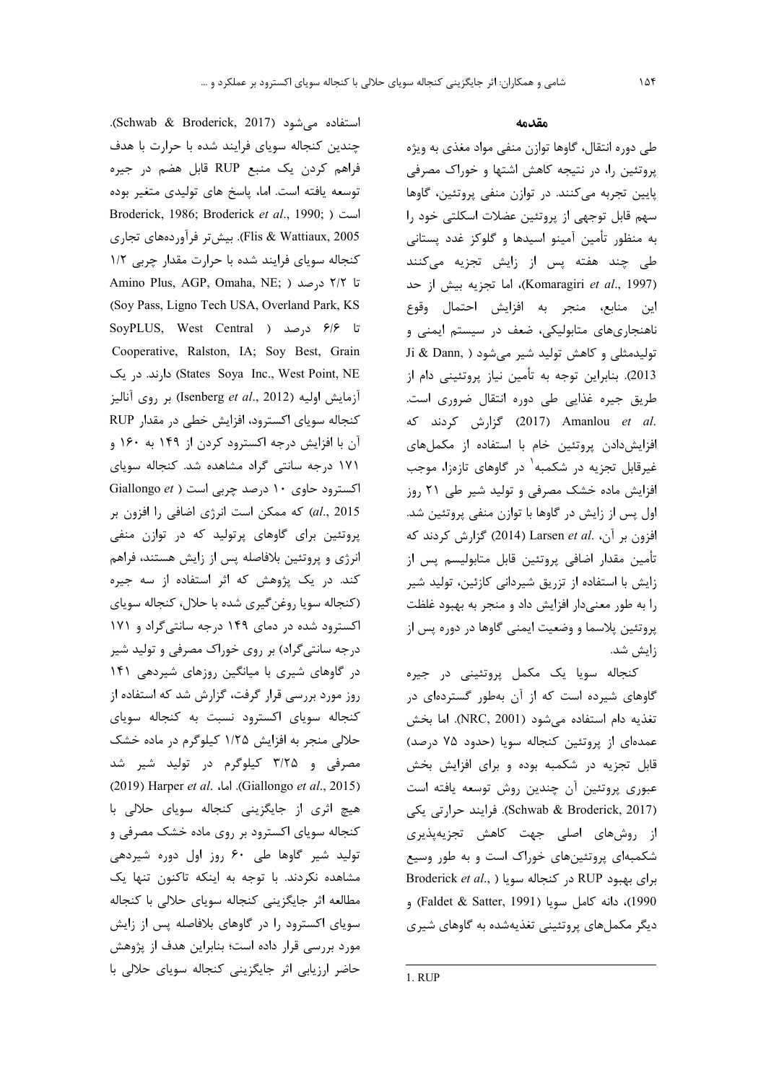استفاده میشود (Schwab & Broderick, 2017). چندین کنجاله سویای فرایند شده با حرارت با هدف فراهم کردن یک منبع RUP قابل هضم در جیره توسعه یافته است. اما، پاسخ های تولیدی متغیر بوده Broderick, 1986; Broderick et al., 1990; ) است Flis & Wattiaux, 2005). بيش تر فرآوردههاي تجارى کنجاله سویای فرایند شده با حرارت مقدار چربی ١/٢ Amino Plus, AGP, Omaha, NE; ) درصد ( ;Amino Plus, AGP (Soy Pass, Ligno Tech USA, Overland Park, KS تا ۶/۶ درصد ( SoyPLUS, West Central Cooperative, Ralston, IA; Soy Best, Grain States Soya Inc., West Point, NE) دارند. در یک آزمايش اوليه (Isenberg et al., 2012) بر روى آناليز كنجاله سوياى اكسترود، افزايش خطى در مقدار RUP آن با افزایش درجه اکسترود کردن از ۱۴۹ به ۱۶۰ و ١٧١ درجه سانتی گراد مشاهده شد. کنجاله سویای اکسترود حاوی ١٠ درصد چربی است ( Giallongo et al., 2015) كه ممكن است انرژى اضافى را افزون بر پروتئین برای گاوهای پرتولید که در توازن منفی انرژی و پروتئین بلافاصله پس از زایش هستند، فراهم کند. در یک پژوهش که اثر استفاده از سه جیره (کنجاله سویا روغن گیری شده با حلال، کنجاله سویای اکسترود شده در دمای ۱۴۹ درجه سانتی گراد و ۱۷۱ درجه سانتیگراد) بر روی خوراک مصرفی و تولید شیر در گاوهای شیری با میانگین روزهای شیردهی ۱۴۱ روز مورد بررسی قرار گرفت، گزارش شد که استفاده از کنجاله سویای اکسترود نسبت به کنجاله سویای حلالی منجر به افزایش ۱/۲۵ کیلوگرم در ماده خشک مصرفی و ۳/۲۵ کیلوگرم در تولید شیر شد (2015). اما، Giallongo et al., 2015). اما (2019) هیچ اثری از جایگزینی کنجاله سویای حلالی با کنجاله سویای اکسترود بر روی ماده خشک مصرفی و تولید شیر گاوها طی ۶۰ روز اول دوره شیردهی مشاهده نکردند. با توجه به اینکه تاکنون تنها یک مطالعه اثر جايگزيني كنجاله سوياي حلالي با كنجاله سویای اکسترود را در گاوهای بلافاصله پس از زایش مورد بررسی قرار داده است؛ بنابراین هدف از پژوهش حاضر ارزیابی اثر جایگزینی کنجاله سویای حلالی با

#### مقدمه

طی دوره انتقال، گاوها توازن منفی مواد مغذی به ویژه پروتئین را، در نتیجه کاهش اشتها و خوراک مصرفی پایین تجربه میکنند. در توازن منفی پروتئین، گاوها سهم قابل توجهي از پروتئين عضلات اسكلتي خود را به منظور تأمين آمينو اسيدها و گلوكز غدد پستاني طی چند هفته پس از زایش تجزیه میکنند (Komaragiri et al., 1997)، اما تجزيه بيش از حد این منابع، منجر به افزایش احتمال وقوع ناهنجاریهای متابولیکی، ضعف در سیستم ایمنی و Ji & Dann, ) تولیدمثلی و کاهش تولید شیر می شود 2013). بنابراین توجه به تأمین نیاز پروتئینی دام از طریق جیرہ غذایی طی دورہ انتقال ضروری است. .2017) Amanlou et al (2017) گزارش کردند که افزایش دادن پروتئین خام با استفاده از مکملهای غیرقابل تجزیه در شکمبه<sup>۱</sup> در گاوهای تازهزا، موجب افزایش ماده خشک مصرفی و تولید شیر طی ۲۱ روز اول پس از زایش در گاوها با توازن منفی پروتئین شد. افزون بر آن، Larsen et al. (2014) گزارش کردند که تأمين مقدار اضافي پروتئين قابل متابوليسم پس از زایش با استفاده از تزریق شیردانی کازئین، تولید شیر را به طور معنى دار افزايش داد و منجر به بهبود غلظت پروتئین پلاسما و وضعیت ایمنی گاوها در دوره پس از زايش شد.

کنجاله سویا یک مکمل پروتئینی در جیره گاوهای شیرده است که از آن بهطور گستردهای در تغذيه دام استفاده مى شود (NRC, 2001). اما بخش عمدهای از پروتئین کنجاله سویا (حدود ۷۵ درصد) قابل تجزیه در شکمبه بوده و برای افزایش بخش عبوری پروتئین آن چندین روش توسعه یافته است (Schwab & Broderick, 2017). فرايند حرارتي يكي از روشهای اصلی جهت کاهش تجزیهپذیری شکمبهای پروتئینهای خوراک است و به طور وسیع Broderick et al., ) در کنجاله سویا ( Broderick et al., 1990)، دانه كامل سويا (Faldet & Satter, 1991) و دیگر مکملهای پروتئینی تغذیهشده به گاوهای شیری

1. RUP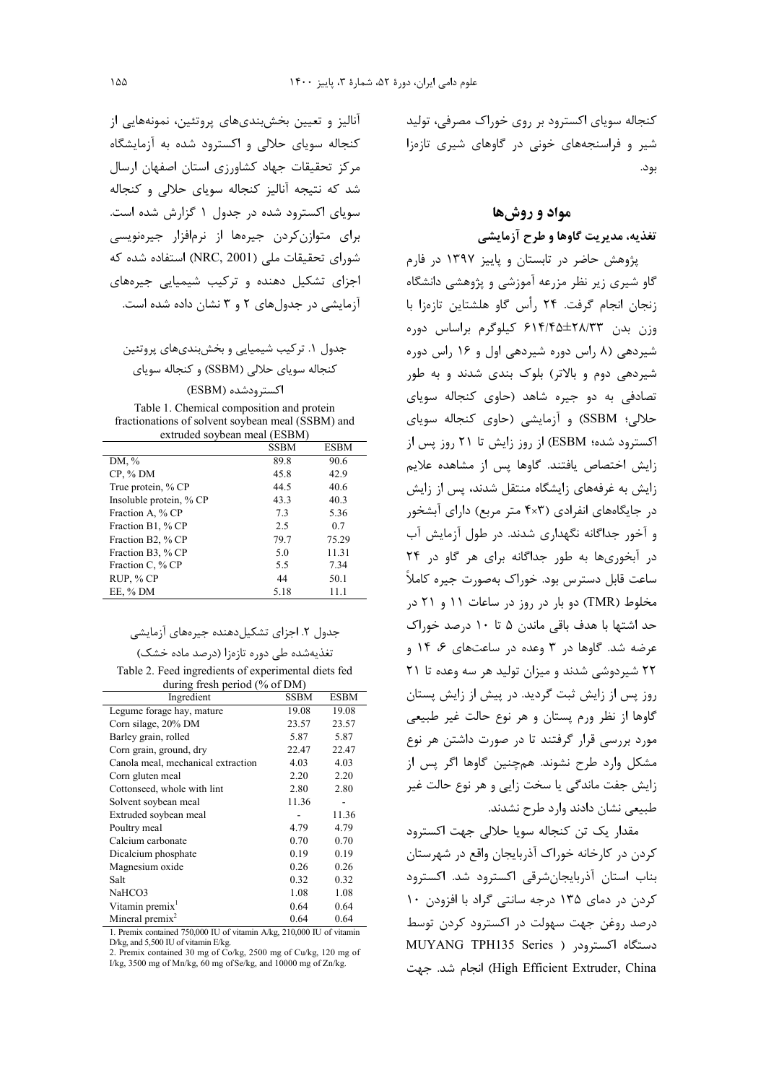کنجاله سویای اکسترود بر روی خوراک مصرفی، تولید شیر و فراسنجههای خونی در گاوهای شیری تازهزا بود.

## مواد و روش ها

## تغذيه، مديريت گاوها و طرح آزمايشي

پژوهش حاضر در تابستان و پاییز ۱۳۹۷ در فارم گاو شیری زیر نظر مزرعه آموزشی و پژوهشی دانشگاه زنجان انجام گرفت. ۲۴ رأس گاو هلشتاین تازهزا با وزن بدن ۲۸/۳۳±۶۱۴/۴۵ کیلوگرم براساس دوره شیردهی (۸ راس دوره شیردهی اول و ۱۶ راس دوره شیردهی دوم و بالاتر) بلوک بندی شدند و به طور تصادفی به دو جیره شاهد (حاوی کنجاله سویای حلالي؛ SSBM) و آزمايشي (حاوي كنجاله سوياي اکسترود شده؛ ESBM) از روز زایش تا ۲۱ روز پس از زایش اختصاص یافتند. گاوها پس از مشاهده علایم زایش به غرفههای زایشگاه منتقل شدند، پس از زایش در جایگاههای انفرادی (۴×۴ متر مربع) دارای آبشخور و آخور جداگانه نگهداری شدند. در طول آزمایش آب در آبخوریها به طور جداگانه برای هر گاو در ۲۴ ساعت قابل دسترس بود. خوراک بهصورت جیره کاملاً مخلوط (TMR) دو بار در روز در ساعات ۱۱ و ۲۱ در حد اشتها با هدف باقی ماندن ۵ تا ۱۰ درصد خوراک عرضه شد. گاوها در ۳ وعده در ساعتهای ۶، ۱۴ و ۲۲ شیر دوشی شدند و میزان تولید هر سه وعده تا ۲۱ روز پس از زایش ثبت گردید. در پیش از زایش پستان گاوها از نظر ورم پستان و هر نوع حالت غیر طبیعی مورد بررسی قرار گرفتند تا در صورت داشتن هر نوع مشکل وارد طرح نشوند. همچنین گاوها اگر پس از زایش جفت ماندگی یا سخت زایی و هر نوع حالت غیر طبیعی نشان دادند وارد طرح نشدند.

مقدار یک تن کنجاله سویا حلالی جهت اکسترود کردن در کارخانه خوراک آذربایجان واقع در شهرستان بناب استان آذربایجانشرقی اکسترود شد. اکسترود کردن در دمای ۱۳۵ درجه سانتی گراد با افزودن ۱۰ درصد روغن جهت سهولت در اکسترود کردن توسط دستگاه اکسترودر ( MUYANG TPH135 Series High Efficient Extruder, China) انجام شد. جهت

آنالیز و تعیین بخش بندیهای پروتئین، نمونههایی از کنجاله سویای حلالی و اکسترود شده به آزمایشگاه مرکز تحقیقات جهاد کشاورزی استان اصفهان ارسال شد که نتیجه آنالیز کنجاله سویای حلالی و کنجاله سویای اکسترود شده در جدول ۱ گزارش شده است. برای متوازن کردن جیرهها از نرمافزار جیرهنویسی شورای تحقیقات ملی (NRC, 2001) استفاده شده که اجزای تشکیل دهنده و ترکیب شیمیایی جیرههای آزمایشی در جدولهای ۲ و ۳ نشان داده شده است.

جدول ۱. ترکیب شیمیایی و بخش بندیهای پروتئین کنجاله سویای حلالی (SSBM) و کنجاله سویای

اکسترودشده (ESBM)

Table 1. Chemical composition and protein fractionations of solvent soybean meal (SSBM) and extruded soybean meal (ESBM)

|                         | SSBM | <b>ESBM</b> |
|-------------------------|------|-------------|
| DM, %                   | 89.8 | 90.6        |
| $CP, \%$ DM             | 45.8 | 42.9        |
| True protein, % CP      | 44.5 | 40.6        |
| Insoluble protein, % CP | 43.3 | 40.3        |
| Fraction A, % CP        | 7.3  | 5.36        |
| Fraction B1, % CP       | 2.5  | 0.7         |
| Fraction B2, % CP       | 79.7 | 75.29       |
| Fraction B3, % CP       | 5.0  | 11.31       |
| Fraction C, % CP        | 5.5  | 7.34        |
| RUP, % CP               | 44   | 50.1        |
| EE, % DM                | 5.18 | 11.1        |

#### جدول ۲. اجزای تشکیل دهنده جیرههای آزمایشی

تغذیهشده طی دوره تازهزا (درصد ماده خشک)

Table 2. Feed ingredients of experimental diets fed during fresh period  $(\hat{\%}$  of DM)

| Ingredient                         | <b>SSBM</b> | <b>ESBM</b> |
|------------------------------------|-------------|-------------|
| Legume forage hay, mature          | 19.08       | 19.08       |
| Corn silage, 20% DM                | 23.57       | 23.57       |
| Barley grain, rolled               | 5.87        | 5.87        |
| Corn grain, ground, dry            | 22.47       | 22.47       |
| Canola meal, mechanical extraction | 4.03        | 4.03        |
| Corn gluten meal                   | 2.20        | 2.20        |
| Cottonseed, whole with lint        | 2.80        | 2.80        |
| Solvent soybean meal               | 11.36       |             |
| Extruded soybean meal              |             | 11.36       |
| Poultry meal                       | 4.79        | 4.79        |
| Calcium carbonate                  | 0.70        | 0.70        |
| Dicalcium phosphate                | 0.19        | 0.19        |
| Magnesium oxide                    | 0.26        | 0.26        |
| Salt                               | 0.32        | 0.32        |
| NaHCO3                             | 1.08        | 1.08        |
| Vitamin premix <sup>1</sup>        | 0.64        | 0.64        |
| Mineral premix <sup>2</sup>        | 0.64        | 0.64        |

1. Premix contained 750,000 IU of vitamin A/kg, 210,000 IU of vitamin  $D/kg$ , and  $5,500$  IU of vitamin E/kg.

2. Premix contained 30 mg of Co/kg, 2500 mg of Cu/kg, 120 mg of I/kg, 3500 mg of Mn/kg, 60 mg of Se/kg, and 10000 mg of Zn/kg.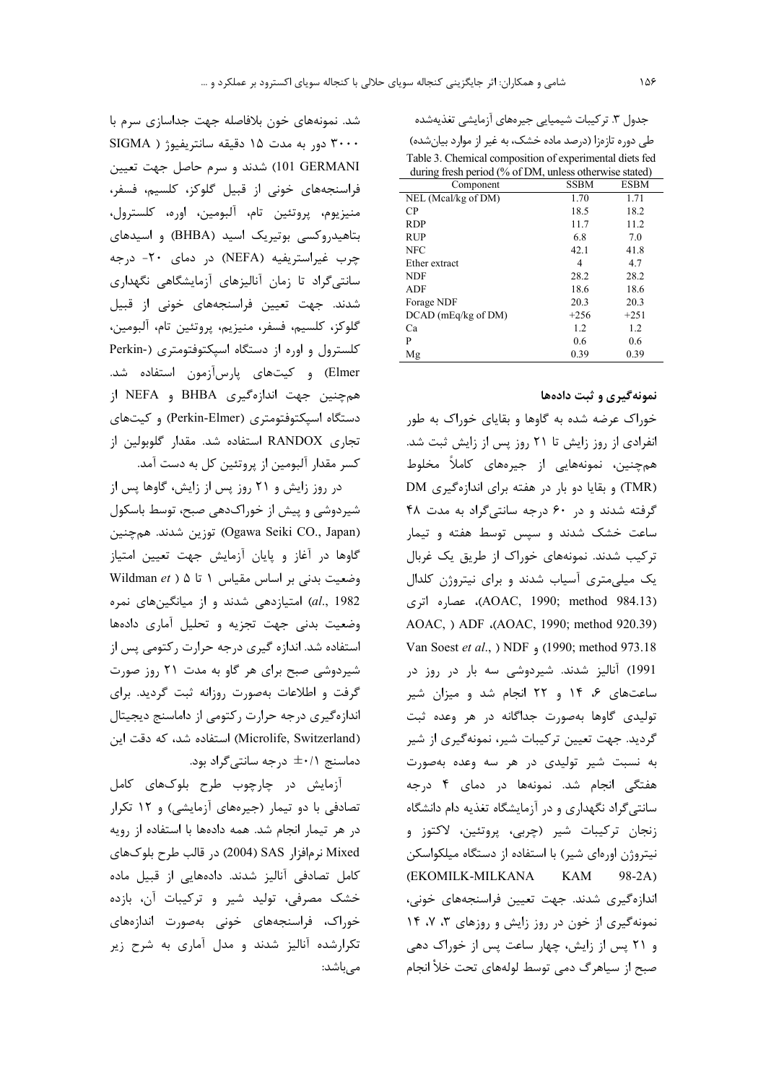| جدول ۳. ترکیبات شیمیایی جیرههای ازمایشی تغذیهشده |  |  |  |  |  |
|--------------------------------------------------|--|--|--|--|--|
|--------------------------------------------------|--|--|--|--|--|

طی دوره تازهزا (درصد ماده خشک، به غیر از موارد بیانشده) Table 3. Chemical composition of experimental diets fed during fresh period (% of DM, unless otherwise stated)

| $\cdots$<br>Component | <b>SSBM</b> | <b>ESBM</b> |
|-----------------------|-------------|-------------|
| NEL (Meal/kg of DM)   | 1.70        | 1.71        |
| CP                    | 18.5        | 18.2        |
| <b>RDP</b>            | 11.7        | 11.2        |
| <b>RUP</b>            | 6.8         | 7.0         |
| <b>NFC</b>            | 42.1        | 41.8        |
| Ether extract         | 4           | 4.7         |
| <b>NDF</b>            | 28.2        | 28.2        |
| ADF                   | 18.6        | 18.6        |
| Forage NDF            | 20.3        | 20.3        |
| $DCAD$ (mEq/kg of DM) | $+256$      | $+251$      |
| Ca                    | 1.2         | 1.2         |
| P                     | 0.6         | 0.6         |
| Mg                    | 0.39        | 0.39        |

### نمونهگیری و ثبت دادهها

خوراک عرضه شده به گاوها و بقایای خوراک به طور انفرادی از روز زایش تا ۲۱ روز پس از زایش ثبت شد. همچنین، نمونەھایی از جیرەھای کاملاً مخلوط (TMR) و بقایا دو بار در هفته برای اندازهگیری DM گرفته شدند و در ۶۰ درجه سانتیگراد به مدت ۴۸ ساعت خشک شدند و سپس توسط هفته و تیمار ترکیب شدند. نمونههای خوراک از طریق یک غربال یک میلی متری آسیاب شدند و برای نیتروژن کلدال (AOAC, 1990; method 984.13)، عصاره اترى AOAC, ) ADF (AOAC, 1990; method 920.39) Van Soest et al., ) NDF , (1990; method 973.18 1991) آنالیز شدند. شیردوشی سه بار در روز در ساعتهای ۶، ۱۴ و ۲۲ انجام شد و میزان شیر تولیدی گاوها بهصورت جداگانه در هر وعده ثبت گردید. جهت تعیین ترکیبات شیر، نمونهگیری از شیر به نسبت شیر تولیدی در هر سه وعده بهصورت هفتگی انجام شد. نمونهها در دمای ۴ درجه سانتی گراد نگهداری و در آزمایشگاه تغذیه دام دانشگاه زنجان تركيبات شير (چربي، پروتئين، لاكتوز و نیتروژن اورەای شیر) با استفاده از دستگاه میلکواسکن (EKOMILK-MILKANA KAM  $98-2A)$ اندازهگیری شدند. جهت تعیین فراسنجههای خونی، نمونه گیری از خون در روز زایش و روزهای ۳، ۷، ۱۴ و ۲۱ پس از زایش، چهار ساعت پس از خوراک دهی صبح از سیاهرگ دمی توسط لولههای تحت خلأ انجام

شد. نمونههای خون بلافاصله جهت جداسازی سرم با ۳۰۰۰ دور به مدت ۱۵ دقیقه سانتریفیوژ ( SIGMA 101 GERMANI) شدند و سرم حاصل جهت تعیین فراسنجههای خونی از قبیل گلوکز، کلسیم، فسفر، منيزيوم، پروتئين تام، آلبومين، اوره، كلسترول، بتاهیدروکسی بوتیریک اسید (BHBA) و اسیدهای چرب غیراستریفیه (NEFA) در دمای ۲۰- درجه سانتی گراد تا زمان آنالیزهای آزمایشگاهی نگهداری شدند. جهت تعیین فراسنجههای خونی از قبیل گلوكز، كلسيم، فسفر، منيزيم، پروتئين تام، آلبومين، کلسترول و اوره از دستگاه اسیکتوفتومتری (-Perkin Elmer) و کیتهای پارسآزمون استفاده شد. همچنین جهت اندازهگیری BHBA و NEFA از دستگاه اسپکتوفتومتری (Perkin-Elmer) و کیتهای تجاری RANDOX استفاده شد. مقدار گلوبولین از کسر مقدار آلبومین از پروتئین کل به دست آمد.

در روز زایش و ۲۱ روز پس از زایش، گاوها پس از شیردوشی و پیش از خوراکدهی صبح، توسط باسکول (Ogawa Seiki CO., Japan) توزين شدند. همچنين گاوها در آغاز و پایان آزمایش جهت تعیین امتیاز Mildman et ) ۵ تا ۵ ( Wildman et al., 1982) امتیازدهی شدند و از میانگینهای نمره وضعیت بدنی جهت تجزیه و تحلیل آماری دادهها استفاده شد. اندازه گیری درجه حرارت رکتومی پس از شیردوشی صبح برای هر گاو به مدت ۲۱ روز صورت گرفت و اطلاعات بهصورت روزانه ثبت گردید. برای اندازهگیری درجه حرارت رکتومی از داماسنج دیجیتال (Microlife, Switzerland) استفاده شد، که دقت این دماسنج +/+± درجه سانتي گراد بود.

آزمایش در چارچوب طرح بلوکهای کامل تصادفی با دو تیمار (جیرههای آزمایشی) و ١٢ تكرار در هر تیمار انجام شد. همه دادهها با استفاده از رویه Mixed نړمافزار SAS (2004) در قالب طرح بلوکهای کامل تصادفی آنالیز شدند. دادههایی از قبیل ماده خشک مصرفی، تولید شیر و ترکیبات آن، بازده خوراک، فراسنجههای خونی بهصورت اندازههای تکرارشده آنالیز شدند و مدل آماری به شرح زیر مے باشد: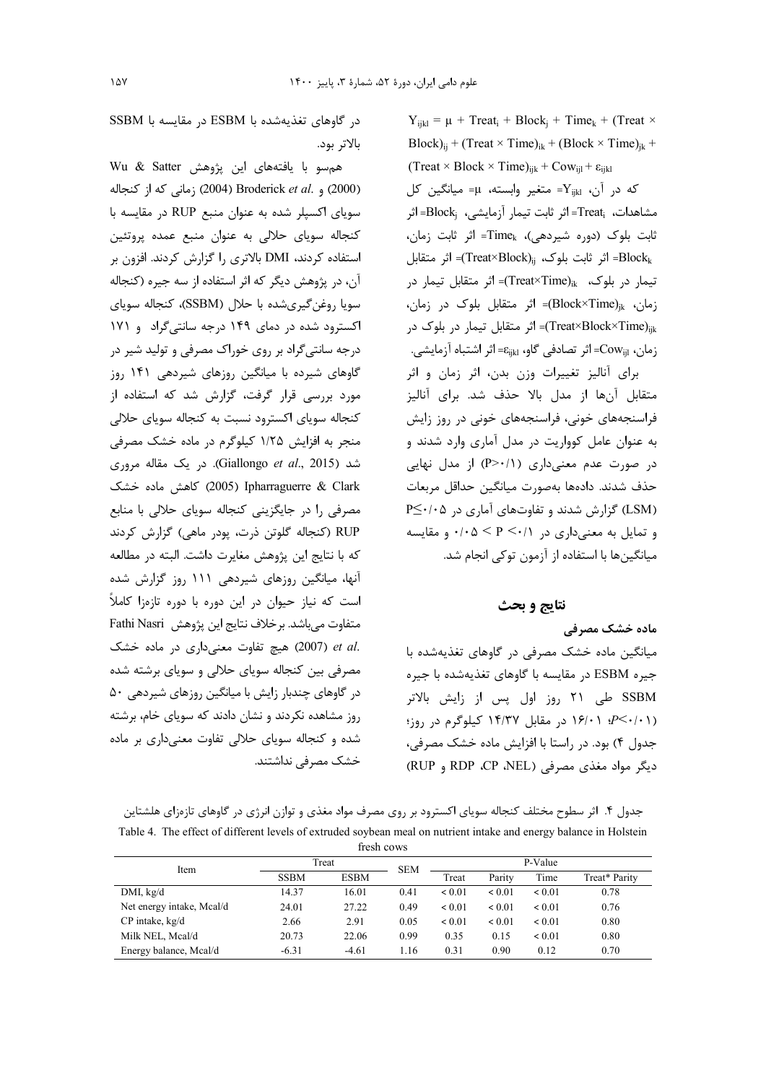$Y_{ijkl} = \mu + \text{Treat}_i + \text{Block}_j + \text{Time}_k + (\text{Treat} \times$ Block)<sub>ij</sub> + (Treat × Time)<sub>ik</sub> + (Block × Time)<sub>ik</sub> +  $(Treat \times Block \times Time)_{iik} + Cow_{iil} + \varepsilon_{iikl}$  $Y_{ijkl}$  که در آن،  $Y_{ijkl}$ = متغیر وابسته، µ= میانگین کل مشاهدات، Treat= اثر ثابت تيمار آزمايشي، Block= اثر ثابت بلوک (دوره شیردهی)، Time<sub>k</sub>= اثر ثابت زمان، اثر متقابل =(Treat×Block)<sub>ij</sub> اثر متقابل =(Treat×Block) تیمار در بلوک، Treat×Time) = اثر متقابل تیمار در زمان، ، (Block×Time)= اثر متقابل بلوک در زمان، Treat×Block×Time)<sub>iik</sub>)= اثر متقابل تیمار در بلوک در زمان، Cow<sub>iil</sub>=اثر تصادفی گاو، <sub>Eijkl</sub>=اثر اشتباه آزمایشی. برای آنالیز تغییرات وزن بدن، اثر زمان و اثر متقابل آنها از مدل بالا حذف شد. برای آنالیز فراسنجههای خونی، فراسنجههای خونی در روز زایش به عنوان عامل کوواریت در مدل آماری وارد شدند و

در صورت عدم معنى دارى (١/ +<P) از مدل نهايى حذف شدند. دادهها بهصورت ميانگين حداقل مربعات (LSM) گزارش شدند و تفاوتهای آماری در ۲⁄۰۰۵€ و تمایل به معنیداری در ۰/۱ ×> P > ۰/۰۵ و مقایسه میانگینها با استفاده از آزمون توکی انجام شد.

### نتايج و بحث

### مادہ خشک مصرفی

میانگین ماده خشک مصرفی در گاوهای تغذیهشده با جیره ESBM در مقایسه با گاوهای تغذیهشده با جیره SSBM طی ۲۱ روز اول پس از زایش بالاتر (۱۶/۰۱ - - ۱۶/۰۷ در مقابل ۱۴/۳۷ کیلوگرم در روز) جدول ۴) بود. در راستا با افزایش ماده خشک مصرفی، دیگر مواد مغذی مصرفی (RUP ،CP ،NEL و RUP)

در گاوهای تغذیهشده با ESBM در مقایسه با SSBM بالاتر بود.

همسو با یافتههای این پژوهش Wu & Satter (2000) و .Broderick et al (2004) زمانی که از کنجاله سویای اکسپلر شده به عنوان منبع RUP در مقایسه با کنجاله سویای حلالی به عنوان منبع عمده پروتئین استفاده کردند، DMI بالاتری را گزارش کردند. افزون بر آن، در پژوهش دیگر که اثر استفاده از سه جیره (کنجاله سویا روغن گیریشده با حلال (SSBM)، کنجاله سویای اکسترود شده در دمای ۱۴۹ درجه سانتی گراد و ۱۷۱ درجه سانتیگراد بر روی خوراک مصرفی و تولید شیر در گاوهای شیرده با میانگین روزهای شیردهی ۱۴۱ روز مورد بررسی قرار گرفت، گزارش شد که استفاده از کنجاله سویای اکسترود نسبت به کنجاله سویای حلالی منجر به افزایش ۱/۲۵ کیلوگرم در ماده خشک مصرفی شد (Giallongo et al., 2015). در یک مقاله مروری 2005) Ipharraguerre & Clark (2005) كاهش ماده خشك مصرفی را در جایگزینی کنجاله سویای حلالی با منابع RUP (کنجاله گلوتن ذرت، یودر ماهی) گزارش کردند كه با نتايج اين پژوهش مغايرت داشت. البته در مطالعه آنها، میانگین روزهای شیردهی ۱۱۱ روز گزارش شده است که نیاز حیوان در این دوره با دوره تازهزا کاملاً متفاوت مي باشد. برخلاف نتايج اين پژوهش Fathi Nasri .et al (2007) هيچ تفاوت معنى دارى در ماده خشك مصرفی بین کنجاله سویای حلالی و سویای برشته شده در گاوهای چندبار زایش با میانگین روزهای شیردهی ۵۰ روز مشاهده نکردند و نشان دادند که سویای خام، برشته شده و کنجاله سویای حلالی تفاوت معنیداری بر ماده خشک مصرفی نداشتند.

جدول ۴. اثر سطوح مختلف کنجاله سویای اکسترود بر روی مصرف مواد مغذی و توازن انرژی در گاوهای تازهزای هلشتاین Table 4. The effect of different levels of extruded soybean meal on nutrient intake and energy balance in Holstein fresh course

| $11 \cup 111 \cup 1111$   |             |             |            |             |             |             |               |
|---------------------------|-------------|-------------|------------|-------------|-------------|-------------|---------------|
| Item                      |             | Treat       |            | P-Value     |             |             |               |
|                           | <b>SSBM</b> | <b>ESBM</b> | <b>SEM</b> | Treat       | Parity      | Time        | Treat* Parity |
| DMI, $kg/d$               | 14.37       | 16.01       | 0.41       | ${}_{0.01}$ | 0.01        | < 0.01      | 0.78          |
| Net energy intake, Mcal/d | 24.01       | 27.22       | 0.49       | ${}_{0.01}$ | ${}_{0.01}$ | < 0.01      | 0.76          |
| CP intake, kg/d           | 2.66        | 2.91        | 0.05       | ${}_{0.01}$ | ${}_{0.01}$ | ${}_{0.01}$ | 0.80          |
| Milk NEL, Meal/d          | 20.73       | 22.06       | 0.99       | 0.35        | 0.15        | < 0.01      | 0.80          |
| Energy balance, Mcal/d    | $-6.31$     | $-4.61$     | 1.16       | 0.31        | 0.90        | 0.12        | 0.70          |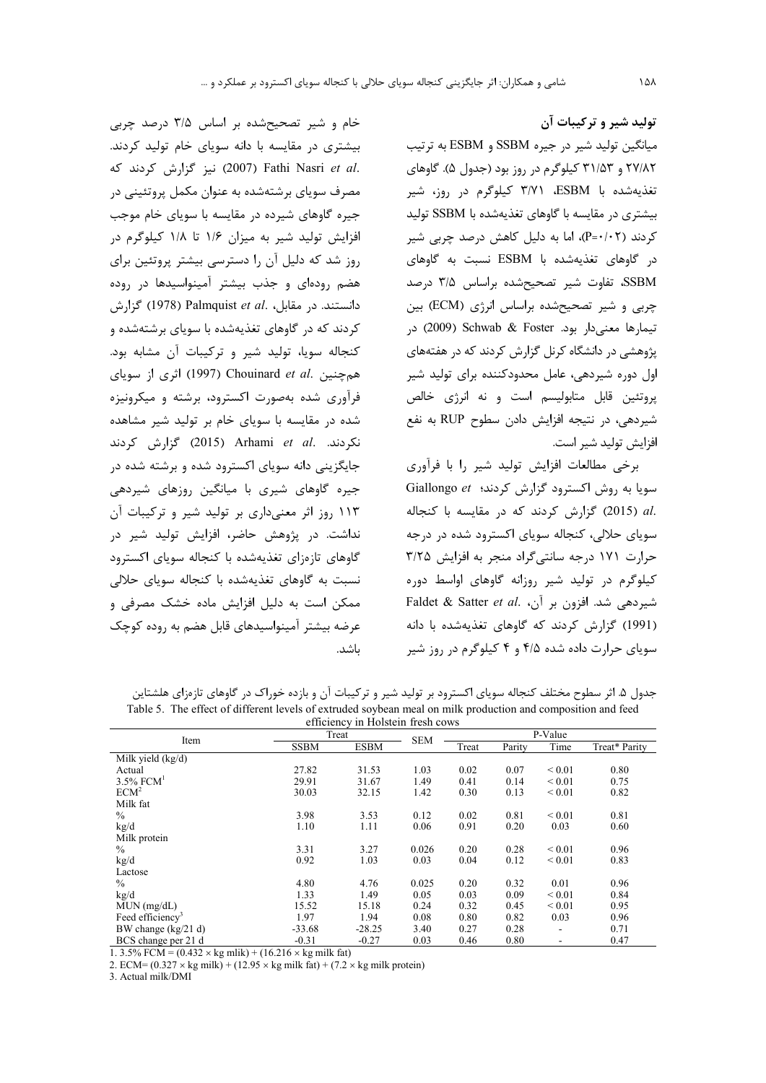تولید شیر و ترکیبات آن میانگین تولید شیر در جیره SSBM و ESBM به ترتیب ۲۷/۸۲ و ۳۱/۵۳ کیلوگرم در روز بود (جدول ۵). گاوهای تغذیهشده با ESBM، ۳/۷۱ کیلوگرم در روز، شیر بیشتری در مقایسه با گاوهای تغذیهشده با SSBM تولید کردند (P=۰/۰۲)، اما به دلیل کاهش درصد چربی شیر در گاوهای تغذیهشده با ESBM نسبت به گاوهای SSBM، تفاوت شير تصحيح شده براساس ٣/٥ درصد چربی و شیر تصحیحشده براساس انرژی (ECM) بین تيمارها معنى دار بود. Schwab & Foster (2009) در پژوهشی در دانشگاه کرنل گزارش کردند که در هفتههای اول دوره شیردهی، عامل محدودکننده برای تولید شیر یروتئین قابل متابولیسم است و نه انرژی خالص شيردهي، در نتيجه افزايش دادن سطوح RUP به نفع افزايش توليد شير است.

برخی مطالعات افزایش تولید شیر را با فرآوری Giallongo et (ش کردند؛ Giallongo et .al (2015) گزارش كردند كه در مقايسه با كنجاله سویای حلالی، کنجاله سویای اکسترود شده در درجه حرارت ١٧١ درجه سانتي گراد منجر به افزايش ٣/٢۵ کیلوگرم در تولید شیر روزانه گاوهای اواسط دوره Faldet & Satter et al. (من بر آن، Faldet & Satter et al. (1991) گزارش كردند كه گاوهاى تغذيهشده با دانه سویای حرارت داده شده ۴/۵ و ۴ کیلوگرم در روز شیر

خام و شیر تصحیحشده بر اساس ۳/۵ درصد چربی بیشتری در مقایسه با دانه سویای خام تولید کردند. .2007) Fathi Nasri et al (2007) نيز گزارش كردند كه مصرف سویای برشتهشده به عنوان مکمل پروتئینی در جیره گاوهای شیرده در مقایسه با سویای خام موجب افزایش تولید شیر به میزان ۱/۶ تا ۱/۸ کیلوگرم در روز شد که دلیل آن را دسترسی بیشتر پروتئین برای هضم رودهای و جذب بیشتر آمینواسیدها در روده دانستند. در مقابل، .Palmquist et al (1978)  $\zeta$ زارش کردند که در گاوهای تغذیهشده با سویای برشتهشده و كنجاله سويا، توليد شير وتركيبات آن مشابه بود. همچنین .Chouinard et al (1997) اثری از سویای فرآوری شده بهصورت اکسترود، برشته و میکرونیزه شده در مقایسه با سویای خام بر تولید شیر مشاهده نكردند. .Arhami et al (2015) گزارش كردند جایگزینی دانه سویای اکسترود شده و برشته شده در جیره گاوهای شیری با میانگین روزهای شیردهی ۱۱۳ روز اثر معنیداری بر تولید شیر و ترکیبات آن نداشت. در پژوهش حاضر، افزایش تولید شیر در گاوهای تازهزای تغذیهشده با کنجاله سویای اکسترود نسبت به گاوهای تغذیهشده با کنجاله سویای حلالی ممکن است به دلیل افزایش ماده خشک مصرفی و عرضه بیشتر آمینواسیدهای قابل هضم به روده کوچک ىاشد.

جدول ۵. اثر سطوح مختلف کنجاله سویای اکسترود بر تولید شیر و ترکیبات آن و بازده خوراک در گاوهای تازهزای هلشتاین Table 5. The effect of different levels of extruded soybean meal on milk production and composition and feed fficionar in Holstoin frosh as

| efficiency in Hoistein fresh cows |             |             |            |         |        |             |               |
|-----------------------------------|-------------|-------------|------------|---------|--------|-------------|---------------|
| Item                              |             | Treat       |            | P-Value |        |             |               |
|                                   | <b>SSBM</b> | <b>ESBM</b> | <b>SEM</b> | Treat   | Parity | Time        | Treat* Parity |
| Milk yield $(kg/d)$               |             |             |            |         |        |             |               |
| Actual                            | 27.82       | 31.53       | 1.03       | 0.02    | 0.07   | ${}_{0.01}$ | 0.80          |
| $3.5\%$ FCM <sup>1</sup>          | 29.91       | 31.67       | 1.49       | 0.41    | 0.14   | ${}_{0.01}$ | 0.75          |
| ECM <sup>2</sup>                  | 30.03       | 32.15       | 1.42       | 0.30    | 0.13   | ${}_{0.01}$ | 0.82          |
| Milk fat                          |             |             |            |         |        |             |               |
| $\frac{0}{0}$                     | 3.98        | 3.53        | 0.12       | 0.02    | 0.81   | ${}_{0.01}$ | 0.81          |
| kg/d                              | 1.10        | 1.11        | 0.06       | 0.91    | 0.20   | 0.03        | 0.60          |
| Milk protein                      |             |             |            |         |        |             |               |
| $\frac{0}{0}$                     | 3.31        | 3.27        | 0.026      | 0.20    | 0.28   | ${}_{0.01}$ | 0.96          |
| kg/d                              | 0.92        | 1.03        | 0.03       | 0.04    | 0.12   | ${}_{0.01}$ | 0.83          |
| Lactose                           |             |             |            |         |        |             |               |
| $\frac{0}{0}$                     | 4.80        | 4.76        | 0.025      | 0.20    | 0.32   | 0.01        | 0.96          |
| kg/d                              | 1.33        | 1.49        | 0.05       | 0.03    | 0.09   | ${}_{0.01}$ | 0.84          |
| MUN (mg/dL)                       | 15.52       | 15.18       | 0.24       | 0.32    | 0.45   | ${}_{0.01}$ | 0.95          |
| Feed efficiency <sup>3</sup>      | 1.97        | 1.94        | 0.08       | 0.80    | 0.82   | 0.03        | 0.96          |
| BW change $(kg/21 d)$             | $-33.68$    | $-28.25$    | 3.40       | 0.27    | 0.28   |             | 0.71          |
| BCS change per 21 d               | $-0.31$     | $-0.27$     | 0.03       | 0.46    | 0.80   |             | 0.47          |

1. 3.5% FCM =  $(0.432 \times \text{kg m}lik)$  +  $(16.216 \times \text{kg m}lik)$  fat)

2. ECM=  $(0.327 \times \text{kg milk}) + (12.95 \times \text{kg milk fat}) + (7.2 \times \text{kg milk protein})$ 

3. Actual milk/DMI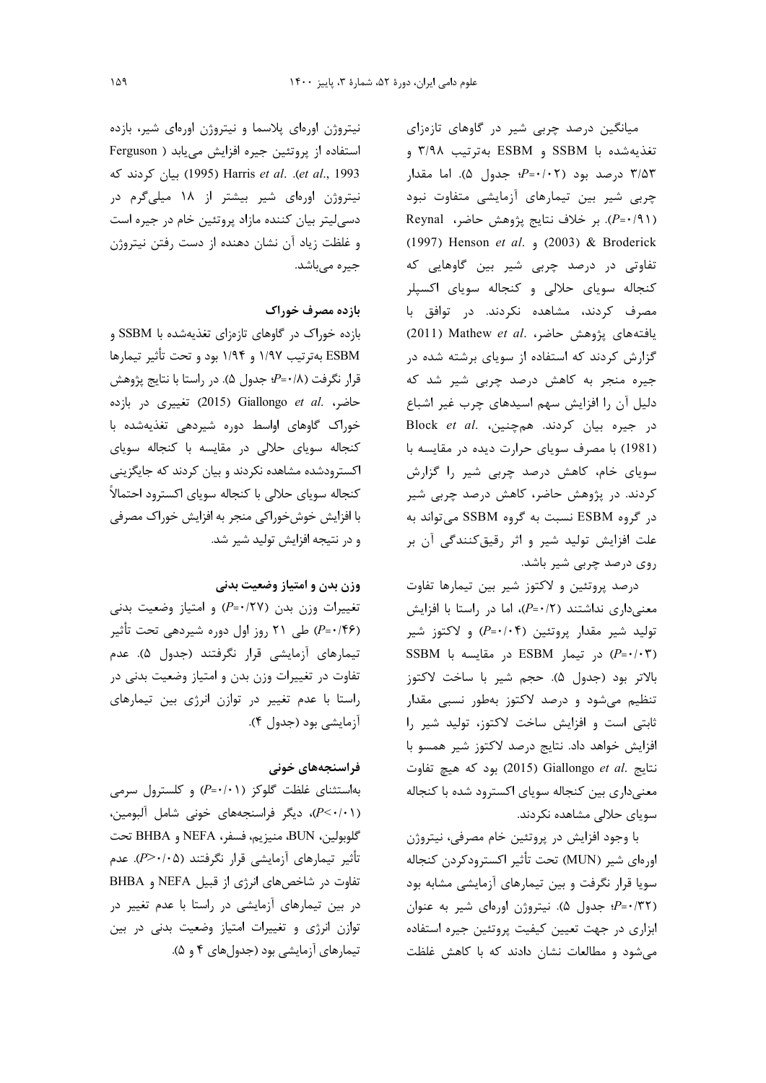میانگین درصد چربی شیر در گاوهای تازهزای تغذيهشده با SSBM و ESBM بهترتيب ٣/٩٨ و ۳/۵۳ درصد بود (۶-۰/۰۲؛ جدول ۵). اما مقدار چربی شیر بین تیمارهای آزمایشی متفاوت نبود (P=·/٩١). بر خلاف نتايج پژوهش حاضر، Reynal (1997) Henson et al. (2003) & Broderick تفاوتی در درصد چربی شیر بین گاوهایی که کنجاله سویای حلالی و کنجاله سویای اکسپلر مصرف کردند، مشاهده نکردند. در توافق با يافتههاى يژوهش حاضر، Mathew et al. گزارش کردند که استفاده از سویای برشته شده در جیره منجر به کاهش درصد چربی شیر شد که دلیل آن را افزایش سهم اسیدهای چرب غیر اشباع در جيره بيان كردند. همچنين، Block et al. (1981) با مصرف سویای حرارت دیده در مقایسه با سویای خام، کاهش درصد چربی شیر را گزارش کردند. در پژوهش حاضر، کاهش درصد چربی شیر در گروه ESBM نسبت به گروه SSBM می تواند به علت افزایش تولید شیر و اثر رقیق کنندگی آن بر روی درصد چربی شیر باشد.

درصد پروتئین و لاکتوز شیر بین تیمارها تفاوت معنى دارى نداشتند (٢ + =P)، اما در راستا با افزايش تولید شیر مقدار پروتئین (۴-۰/۰۴) و لاکتوز شیر SSBM در تیمار ESBM در مقایسه با SSBM بالاتر بود (جدول ۵). حجم شير با ساخت لاكتوز تنظیم میشود و درصد لاکتوز بهطور نسبی مقدار ثابتی است و افزایش ساخت لاکتوز، تولید شیر را افزایش خواهد داد. نتایج درصد لاکتوز شیر همسو با نتايج Giallongo et al. بود كه هيچ تفاوت معنیداری بین کنجاله سویای اکسترود شده با کنجاله سویای حلالی مشاهده نکردند.

با وجود افزایش در پروتئین خام مصرفی، نیتروژن اورەاي شير (MUN) تحت تأثير اكسترودكردن كنجاله سویا قرار نگرفت و بین تیمارهای آزمایشی مشابه بود (P=·/۳۲؛ جدول ۵). نیتروژن اورهای شیر به عنوان ابزاری در جهت تعیین کیفیت پروتئین جیره استفاده می شود و مطالعات نشان دادند که با کاهش غلظت

نیتروژن اورهای پلاسما و نیتروژن اورهای شیر، بازده استفاده از پروتئین جیره افزایش می یابد ( Ferguson et al., 1993). Harris et al. .(et al., 1993) بيان كردند كه نیتروژن اورهای شیر بیشتر از ۱۸ میلیگرم در دسی لیتر بیان کننده مازاد پروتئین خام در جیره است و غلظت زیاد آن نشان دهنده از دست رفتن نیتروژن جیرہ مے باشد.

## بازده مصرف خوراك

بازده خوراک در گاوهای تازهزای تغذیهشده با SSBM و ESBM بهترتيب ١/٩٧ و ١/٩۴ بود و تحت تأثير تيمارها قرار نگرفت (۰/۸+=P؛ جدول ۵). در راستا با نتایج پژوهش ciallongo et al. حاضر، Giallongo et al. حاضر، خوراک گاوهای اواسط دوره شیردهی تغذیهشده با کنجاله سویای حلالی در مقایسه با کنجاله سویای اکسترودشده مشاهده نکردند و بیان کردند که جایگزینی كنجاله سوياي حلالي با كنجاله سوياي اكسترود احتمالاً با افزایش خوشخوراکی منجر به افزایش خوراک مصرفی و در نتیجه افزایش تولید شیر شد.

#### وزن بدن و امتياز وضعيت بدني

تغییرات وزن بدن (۶۷/۲۷) و امتیاز وضعیت بدنی (۶۶-P=۰/۴۶) طی ۲۱ روز اول دوره شیردهی تحت تأثیر تیمارهای آزمایشی قرار نگرفتند (جدول ۵). عدم تفاوت در تغییرات وزن بدن و امتیاز وضعیت بدنی در راستا با عدم تغییر در توازن انرژی بین تیمارهای آزمایشی بود (جدول ۴).

## فراسنجەھای خونی

بهاستثنای غلظت گلوکز (P=٠/٠١) و کلسترول سرمی (P<·/·۱)، دیگر فراسنجههای خونی شامل آلبومین، گلوبولين، BUN، منيزيم، فسفر، NEFA و BHBA تحت تأثير تيمارهاي آزمايشي قرار نگرفتند (P>٠/٠۵). عدم تفاوت در شاخصهای انرژی از قبیل NEFA و BHBA در بین تیمارهای آزمایشی در راستا با عدم تغییر در توازن انرژی و تغییرات امتیاز وضعیت بدنی در بین تیمارهای آزمایشی بود (جدولهای ۴ و ۵).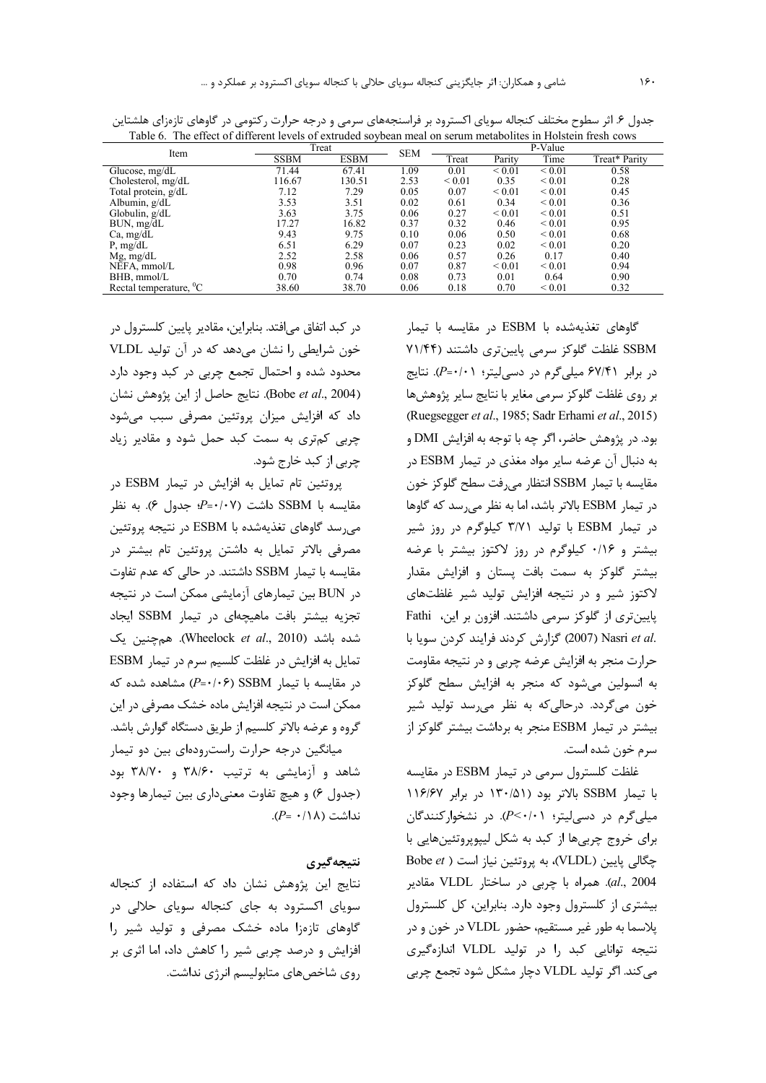| Item                               |             | Treat       |            | P-Value    |                  |             |               |
|------------------------------------|-------------|-------------|------------|------------|------------------|-------------|---------------|
|                                    | <b>SSBM</b> | <b>ESBM</b> | <b>SEM</b> | Treat      | Parity           | Time        | Treat* Parity |
| Glucose, $mg/dL$                   | 71.44       | 67.41       | 1.09       | 0.01       | ${}_{0.01}$      | ${}_{0.01}$ | 0.58          |
| Cholesterol, mg/dL                 | 116.67      | 130.51      | 2.53       | ${}< 0.01$ | 0.35             | ${}_{0.01}$ | 0.28          |
| Total protein, g/dL                | 7.12        | 7.29        | 0.05       | 0.07       | ${}_{\leq 0.01}$ | ${}_{0.01}$ | 0.45          |
| Albumin, $g/dL$                    | 3.53        | 3.51        | 0.02       | 0.61       | 0.34             | ${}_{0.01}$ | 0.36          |
| Globulin, $g/dL$                   | 3.63        | 3.75        | 0.06       | 0.27       | ${}_{0.01}$      | ${}_{0.01}$ | 0.51          |
| BUN, mg/dL                         | 17.27       | 16.82       | 0.37       | 0.32       | 0.46             | ${}_{0.01}$ | 0.95          |
| Ca, mg/dL                          | 9.43        | 9.75        | 0.10       | 0.06       | 0.50             | ${}_{0.01}$ | 0.68          |
| $P$ , mg/dL                        | 6.51        | 6.29        | 0.07       | 0.23       | 0.02             | ${}_{0.01}$ | 0.20          |
| $Mg$ , mg/dL                       | 2.52        | 2.58        | 0.06       | 0.57       | 0.26             | 0.17        | 0.40          |
| NEFA, mmol/L                       | 0.98        | 0.96        | 0.07       | 0.87       | ${}_{\leq 0.01}$ | ${}_{0.01}$ | 0.94          |
| BHB, mmol/L                        | 0.70        | 0.74        | 0.08       | 0.73       | 0.01             | 0.64        | 0.90          |
| Rectal temperature, <sup>0</sup> C | 38.60       | 38.70       | 0.06       | 0.18       | 0.70             | ${}_{0.01}$ | 0.32          |

جدول ۶. اثر سطوح مختلف کنجاله سویای اکسترود بر فراسنجههای سرمی و درجه حرارت رکتومی در گاوهای تازهزای هلشتاین Table 6. The effect of different levels of extruded soybean meal on serum metabolites in Holstein fresh cows

گاوهای تغذیهشده با ESBM در مقایسه با تیمار SSBM غلظت گلوکز سرمی پایینتری داشتند (۷۱/۴۴ در برابر ۶۷/۴۱ میلیگرم در دسیلیتر؛ (۶۷/۴=). نتایج بر روى غلظت گلوكز سرمى مغاير با نتايج ساير پژوهشها (Ruegsegger et al., 1985; Sadr Erhami et al., 2015) بود. در پژوهش حاضر، اگر چه با توجه به افزایش DMI و به دنبال أن عرضه ساير مواد مغذى در تيمار ESBM در مقايسه با تيمار SSBM انتظار مىرفت سطح گلوكز خون در تیمار ESBM بالاتر باشد، اما به نظر می رسد که گاوها در تیمار ESBM با تولید ۳/۷۱ کیلوگرم در روز شیر بیشتر و ۰/۱۶ کیلوگرم در روز لاکتوز بیشتر با عرضه بیشتر گلوکز به سمت بافت پستان و افزایش مقدار لاکتوز شیر و در نتیجه افزایش تولید شیر غلظتهای پایینتری از گلوکز سرمی داشتند. افزون بر این، Fathi .Nasri et al (2007) گزارش كردند فرايند كردن سويا با حرارت منجر به افزایش عرضه چربی و در نتیجه مقاومت به انسولین میشود که منجر به افزایش سطح گلوکز خون میگردد. درحالیکه به نظر می رسد تولید شیر بیشتر در تیمار ESBM منجر به برداشت بیشتر گلوکز از سرم خون شده است.

غلظت كلسترول سرمى در تيمار ESBM در مقايسه با تیمار SSBM بالاتر بود (۱۳۰/۵۱ در برابر ۱۱۶/۶۷ میلی گرم در دسی لیتر؛ P<۰/۰۱). در نشخوارکنندگان برای خروج چربیها از کبد به شکل لیپوپروتئینهایی با Bobe et ) به پروتئین نیاز است ( Bobe et al., 2004). همراه با چربی در ساختار VLDL مقادیر بیشتری از کلسترول وجود دارد. بنابراین، کل کلسترول يلاسما به طو, غير مستقيم، حضور VLDL در خون و در نتیجه توانایی کبد ۱٫ در تولید VLDL اندازهگیری مي كند. اگر توليد VLDL دچار مشكل شود تجمع چربي

در کبد اتفاق میافتد. بنابراین، مقادیر پایین کلسترول در خون شرایطی را نشان میدهد که در آن تولید VLDL محدود شده و احتمال تجمع چربی در کبد وجود دارد (Bobe et al., 2004). نتايج حاصل از اين پژوهش نشان داد که افزایش میزان پروتئین مصرفی سبب میشود چربی کم تری به سمت کبد حمل شود و مقادیر زیاد چربی از کبد خارج شود.

پروتئين تام تمايل به افزايش در تيمار ESBM در مقایسه با SSBM داشت (۶-۰/۰۷؛ جدول ۶). به نظر می, سد گاوهای تغذیهشده با ESBM در نتیجه پروتئین مصرفی بالاتر تمایل به داشتن پروتئین تام بیشتر در مقایسه با تیمار SSBM داشتند. در حالی که عدم تفاوت در BUN بین تیمارهای آزمایشی ممکن است در نتیجه تجزیه بیشتر بافت ماهیچهای در تیمار SSBM ایجاد شده باشد (Wheelock *et al.*, 2010). همچنین یک تمایل به افزایش در غلظت کلسیم سرم در تیمار ESBM  $(P = \cdot / \cdot 5)$  SSBM در مقایسه با تیمار SSBM در ممکن است در نتیجه افزایش ماده خشک مصرفی در این گروه و عرضه بالاتر کلسیم از طریق دستگاه گوارش باشد. میانگین درجه حرارت راست رودهای بین دو تیمار

شاهد و آزمایشی به ترتیب ۳۸/۶۰ و ۳۸/۷۰ بود (جدول ۶) و هيچ تفاوت معنىدارى بين تيمارها وجود  $(P = \cdot / \Lambda)$  نداشت

### نتيجەگيرى

نتايج اين پژوهش نشان داد كه استفاده از كنجاله سویای اکسترود به جای کنجاله سویای حلالی در گاوهای تازهزا ماده خشک مصرفی و تولید شیر را افزایش و درصد چربی شیر را کاهش داد، اما اثری بر روی شاخصهای متابولیسم انرژی نداشت.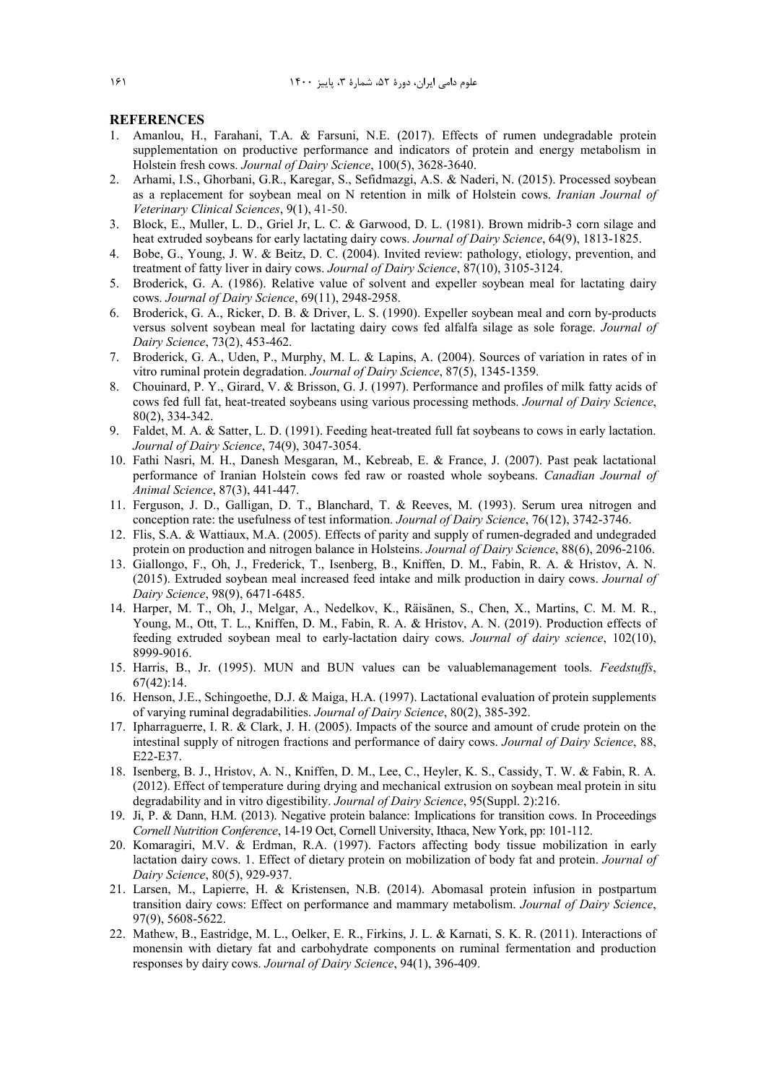#### **REFERENCES**

- 1. Amanlou, H., Farahani, T.A. & Farsuni, N.E. (2017). Effects of rumen undegradable protein supplementation on productive performance and indicators of protein and energy metabolism in Holstein fresh cows. *Journal of Dairy Science*, 100(5), 3628-3640.
- 2. Arhami, I.S., Ghorbani, G.R., Karegar, S., Sefidmazgi, A.S. & Naderi, N. (2015). Processed soybean as a replacement for soybean meal on N retention in milk of Holstein cows. *Iranian Journal of Veterinary Clinical Sciences*, 9(1), 41-50.
- 3. Block, E., Muller, L. D., Griel Jr, L. C. & Garwood, D. L. (1981). Brown midrib-3 corn silage and heat extruded soybeans for early lactating dairy cows. *Journal of Dairy Science*, 64(9), 1813-1825.
- 4. Bobe, G., Young, J. W. & Beitz, D. C. (2004). Invited review: pathology, etiology, prevention, and treatment of fatty liver in dairy cows. *Journal of Dairy Science*, 87(10), 3105-3124.
- 5. Broderick, G. A. (1986). Relative value of solvent and expeller soybean meal for lactating dairy cows. *Journal of Dairy Science*, 69(11), 2948-2958.
- 6. Broderick, G. A., Ricker, D. B. & Driver, L. S. (1990). Expeller soybean meal and corn by-products versus solvent soybean meal for lactating dairy cows fed alfalfa silage as sole forage. *Journal of Dairy Science*, 73(2), 453-462.
- 7. Broderick, G. A., Uden, P., Murphy, M. L. & Lapins, A. (2004). Sources of variation in rates of in vitro ruminal protein degradation. *Journal of Dairy Science*, 87(5), 1345-1359.
- 8. Chouinard, P. Y., Girard, V. & Brisson, G. J. (1997). Performance and profiles of milk fatty acids of cows fed full fat, heat-treated soybeans using various processing methods. *Journal of Dairy Science*, 80(2), 334-342.
- 9. Faldet, M. A. & Satter, L. D. (1991). Feeding heat-treated full fat soybeans to cows in early lactation. *Journal of Dairy Science*, 74(9), 3047-3054.
- 10. Fathi Nasri, M. H., Danesh Mesgaran, M., Kebreab, E. & France, J. (2007). Past peak lactational performance of Iranian Holstein cows fed raw or roasted whole soybeans. *Canadian Journal of Animal Science*, 87(3), 441-447.
- 11. Ferguson, J. D., Galligan, D. T., Blanchard, T. & Reeves, M. (1993). Serum urea nitrogen and conception rate: the usefulness of test information. *Journal of Dairy Science*, 76(12), 3742-3746.
- 12. Flis, S.A. & Wattiaux, M.A. (2005). Effects of parity and supply of rumen-degraded and undegraded protein on production and nitrogen balance in Holsteins. *Journal of Dairy Science*, 88(6), 2096-2106.
- 13. Giallongo, F., Oh, J., Frederick, T., Isenberg, B., Kniffen, D. M., Fabin, R. A. & Hristov, A. N. (2015). Extruded soybean meal increased feed intake and milk production in dairy cows. *Journal of Dairy Science*, 98(9), 6471-6485.
- 14. Harper, M. T., Oh, J., Melgar, A., Nedelkov, K., Räisänen, S., Chen, X., Martins, C. M. M. R., Young, M., Ott, T. L., Kniffen, D. M., Fabin, R. A. & Hristov, A. N. (2019). Production effects of feeding extruded soybean meal to early-lactation dairy cows. *Journal of dairy science*, 102(10), 8999-9016.
- 15. Harris, B., Jr. (1995). MUN and BUN values can be valuablemanagement tools. *Feedstuffs*, 67(42):14.
- 16. Henson, J.E., Schingoethe, D.J. & Maiga, H.A. (1997). Lactational evaluation of protein supplements of varying ruminal degradabilities. *Journal of Dairy Science*, 80(2), 385-392.
- 17. Ipharraguerre, I. R. & Clark, J. H. (2005). Impacts of the source and amount of crude protein on the intestinal supply of nitrogen fractions and performance of dairy cows. *Journal of Dairy Science*, 88, E22-E37.
- 18. Isenberg, B. J., Hristov, A. N., Kniffen, D. M., Lee, C., Heyler, K. S., Cassidy, T. W. & Fabin, R. A. (2012). Effect of temperature during drying and mechanical extrusion on soybean meal protein in situ degradability and in vitro digestibility. *Journal of Dairy Science*, 95(Suppl. 2):216.
- 19. Ji, P. & Dann, H.M. (2013). Negative protein balance: Implications for transition cows. In Proceedings *Cornell Nutrition Conference*, 14-19 Oct, Cornell University, Ithaca, New York, pp: 101-112.
- 20. Komaragiri, M.V. & Erdman, R.A. (1997). Factors affecting body tissue mobilization in early lactation dairy cows. 1. Effect of dietary protein on mobilization of body fat and protein. *Journal of Dairy Science*, 80(5), 929-937.
- 21. Larsen, M., Lapierre, H. & Kristensen, N.B. (2014). Abomasal protein infusion in postpartum transition dairy cows: Effect on performance and mammary metabolism. *Journal of Dairy Science*, 97(9), 5608-5622.
- 22. Mathew, B., Eastridge, M. L., Oelker, E. R., Firkins, J. L. & Karnati, S. K. R. (2011). Interactions of monensin with dietary fat and carbohydrate components on ruminal fermentation and production responses by dairy cows. *Journal of Dairy Science*, 94(1), 396-409.